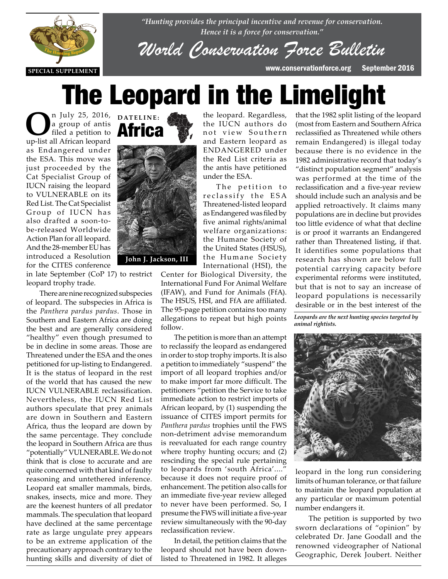

*"Hunting provides the principal incentive and revenue for conservation. Hence it is a force for conservation."*

*World Conservation Force Bulletin*

# The Leopard in the Limelight

**O**n July 25, 2016, DATELINE:<br>
a group of antis<br>
ill African leopard a group of antis filed a petition to up-list all African leopard as Endangered under the ESA. This move was just proceeded by the Cat Specialist Group of IUCN raising the leopard to VULNERABLE on its Red List. The Cat Specialist Group of IUCN has also drafted a soon-tobe-released Worldwide Action Plan for all leopard. And the 28-member EU has *THE HUNTER REPORT AND THE HUNTER* introduced a Resolution for the CITES conference



in late September (CoP 17) to restrict In face september (Cor 17) to report<br>leopard trophy trade.

There are nine recognized subspecies of leopard. The subspecies in Africa is the *Panthera pardus pardus*. Those in Southern and Eastern Africa are doing the best and are generally considered "healthy" even though presumed to be in decline in some areas. Those are Threatened under the ESA and the ones petitioned for up-listing to Endangered. It is the status of leopard in the rest of the world that has caused the new IUCN VULNERABLE reclassification. Nevertheless, the IUCN Red List authors speculate that prey animals are down in Southern and Eastern Africa, thus the leopard are down by the same percentage. They conclude the leopard in Southern Africa are thus "potentially" VULNERABLE. We do not think that is close to accurate and are quite concerned with that kind of faulty reasoning and untethered inference. Leopard eat smaller mammals, birds, snakes, insects, mice and more. They are the keenest hunters of all predator mammals. The speculation that leopard have declined at the same percentage rate as large ungulate prey appears to be an extreme application of the precautionary approach contrary to the hunting skills and diversity of diet of

the leopard. Regardless, the IUCN authors do not view Southern and Eastern leopard as ENDANGERED under the Red List criteria as the antis have petitioned under the ESA.

The petition to reclassify the ESA Threatened-listed leopard as Endangered was filed by five animal rights/animal welfare organizations: the Humane Society of the United States (HSUS), the Humane Society International (HSI), the

Center for Biological Diversity, the International Fund For Animal Welfare (IFAW), and Fund for Animals (FfA). The HSUS, HSI, and FfA are affiliated. The 95-page petition contains too many allegations to repeat but high points follow.

The petition is more than an attempt to reclassify the leopard as endangered in order to stop trophy imports. It is also a petition to immediately "suspend" the import of all leopard trophies and/or to make import far more difficult. The petitioners "petition the Service to take immediate action to restrict imports of African leopard, by (1) suspending the issuance of CITES import permits for *Panthera pardus* trophies until the FWS non-detriment advise memorandum is reevaluated for each range country where trophy hunting occurs; and  $(2)$ rescinding the special rule pertaining to leopards from 'south Africa'....' because it does not require proof of enhancement. The petition also calls for an immediate five-year review alleged to never have been performed. So, I presume the FWS will initiate a five-year review simultaneously with the 90-day reclassification review.

In detail, the petition claims that the leopard should not have been downlisted to Threatened in 1982. It alleges

that the 1982 split listing of the leopard (most from Eastern and Southern Africa reclassified as Threatened while others remain Endangered) is illegal today because there is no evidence in the 1982 administrative record that today's "distinct population segment" analysis was performed at the time of the reclassification and a five-year review should include such an analysis and be applied retroactively. It claims many populations are in decline but provides too little evidence of what that decline is or proof it warrants an Endangered rather than Threatened listing, if that. It identifies some populations that research has shown are below full potential carrying capacity before experimental reforms were instituted, but that is not to say an increase of leopard populations is necessarily desirable or in the best interest of the

*Leopards are the next hunting species targeted by animal rightists.*



leopard in the long run considering limits of human tolerance, or that failure to maintain the leopard population at any particular or maximum potential number endangers it.

The petition is supported by two sworn declarations of "opinion" by celebrated Dr. Jane Goodall and the renowned videographer of National Geographic, Derek Joubert. Neither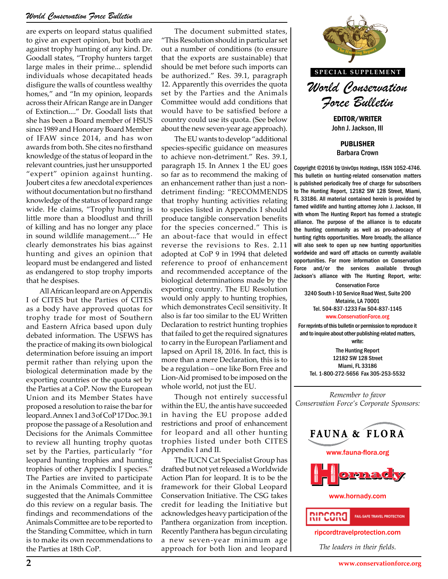are experts on leopard status qualified to give an expert opinion, but both are against trophy hunting of any kind. Dr. Goodall states, "Trophy hunters target large males in their prime... splendid individuals whose decapitated heads disfigure the walls of countless wealthy homes," and "In my opinion, leopards across their African Range are in Danger of Extinction...." Dr. Goodall lists that she has been a Board member of HSUS since 1989 and Honorary Board Member of IFAW since 2014, and has won awards from both. She cites no firsthand knowledge of the status of leopard in the relevant countries, just her unsupported "expert" opinion against hunting. Joubert cites a few anecdotal experiences without documentation but no firsthand knowledge of the status of leopard range wide. He claims, "Trophy hunting is little more than a bloodlust and thrill of killing and has no longer any place in sound wildlife management...." He clearly demonstrates his bias against hunting and gives an opinion that leopard must be endangered and listed as endangered to stop trophy imports that he despises.

All African leopard are on Appendix I of CITES but the Parties of CITES as a body have approved quotas for trophy trade for most of Southern and Eastern Africa based upon duly debated information. The USFWS has the practice of making its own biological determination before issuing an import permit rather than relying upon the biological determination made by the exporting countries or the quota set by the Parties at a CoP. Now the European Union and its Member States have proposed a resolution to raise the bar for leopard. Annex 1 and 3 of CoP 17 Doc. 39.1 propose the passage of a Resolution and Decisions for the Animals Committee to review all hunting trophy quotas set by the Parties, particularly "for leopard hunting trophies and hunting trophies of other Appendix I species." The Parties are invited to participate in the Animals Committee, and it is suggested that the Animals Committee do this review on a regular basis. The findings and recommendations of the Animals Committee are to be reported to the Standing Committee, which in turn is to make its own recommendations to the Parties at 18th CoP.

The document submitted states, "This Resolution should in particular set out a number of conditions (to ensure that the exports are sustainable) that should be met before such imports can be authorized." Res. 39.1, paragraph 12. Apparently this overrides the quota set by the Parties and the Animals Committee would add conditions that would have to be satisfied before a country could use its quota. (See below about the new seven-year age approach).

The EU wants to develop "additional species-specific guidance on measures to achieve non-detriment." Res. 39.1, paragraph 15. In Annex 1 the EU goes so far as to recommend the making of an enhancement rather than just a nondetriment finding: "RECOMMENDS that trophy hunting activities relating to species listed in Appendix I should produce tangible conservation benefits for the species concerned." This is an about-face that would in effect reverse the revisions to Res. 2.11 adopted at CoP 9 in 1994 that deleted reference to proof of enhancement and recommended acceptance of the biological determinations made by the exporting country. The EU Resolution would only apply to hunting trophies, which demonstrates Cecil sensitivity. It also is far too similar to the EU Written Declaration to restrict hunting trophies that failed to get the required signatures to carry in the European Parliament and lapsed on April 18, 2016. In fact, this is more than a mere Declaration, this is to be a regulation – one like Born Free and Lion-Aid promised to be imposed on the whole world, not just the EU.

Though not entirely successful within the EU, the antis have succeeded in having the EU propose added restrictions and proof of enhancement for leopard and all other hunting trophies listed under both CITES Appendix I and II.

The IUCN Cat Specialist Group has drafted but not yet released a Worldwide Action Plan for leopard. It is to be the framework for their Global Leopard Conservation Initiative. The CSG takes credit for leading the Initiative but acknowledges heavy participation of the Panthera organization from inception. Recently Panthera has begun circulating a new seven-year minimum age approach for both lion and leopard



*Force Bulletin* EDITOR/WRITER

John J. Jackson, III

PUBLISHER Barbara Crown

Copyright ©2016 by UnivOps Holdings, ISSN 1052-4746. This bulletin on hunting-related conservation matters is published periodically free of charge for subscribers to The Hunting Report, 12182 SW 128 Street, Miami, FL 33186. All material contained herein is provided by famed wildlife and hunting attorney John J. Jackson, III with whom The Hunting Report has formed a strategic alliance. The purpose of the alliance is to educate the hunting community as well as pro-advocacy of build in effect  $\begin{bmatrix}$  hunting rights opportunities. More broadly, the alliance to Res. 2.11 will also seek to open up new hunting opportunities will also seek to open up new hunting opportunities worldwide and ward off attacks on currently available opportunities. For more information on Conservation Force and/or the services available through eptance of the **Force** and/or the services available through<br>is made by the **Jackson's alliance with The Hunting Report**, write:

Conservation Force 3240 South I-10 Service Road West, Suite 200 Metairie, LA 70001 Tel. 504-837-1233 Fax 504-837-1145 www.ConservationForce.org

For reprints of this bulletin or permission to reproduce it and to inquire about other publishing-related matters, write:

The Hunting Report 12182 SW 128 Street Miami, FL 33186 Tel. 1-800-272-5656 Fax 305-253-5532

*Remember to favor Conservation Force's Corporate Sponsors:*

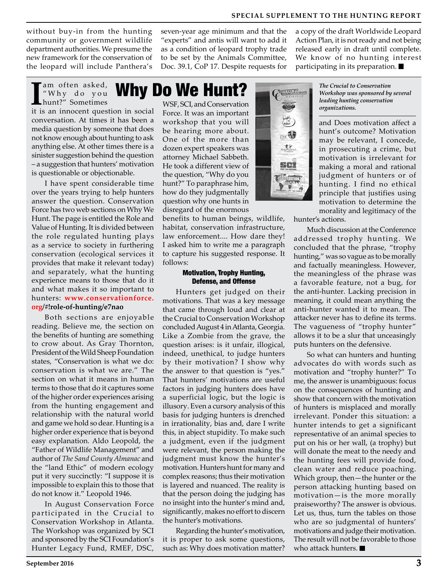**SPECIAL SUPPLEMENT TO THE HUNTING REPORT**

without buy-in from the hunting community or government wildlife department authorities. We presume the new framework for the conservation of the leopard will include Panthera's

> am often asked, "Why do you

seven-year age minimum and that the "experts" and antis will want to add it as a condition of leopard trophy trade to be set by the Animals Committee, Doc. 39.1, CoP 17. Despite requests for

a copy of the draft Worldwide Leopard Action Plan, it is not ready and not being released early in draft until complete. We know of no hunting interest participating in its preparation.

### Why Do We Hunt?

I<sup>am often asked,</sup> **Why I**<br>
<sup>"Why do you **Why!**<br>
it is an innocent question in social</sup> hunt?" Sometimes conversation. At times it has been a media question by someone that does not know enough about hunting to ask anything else. At other times there is a sinister suggestion behind the question – a suggestion that hunters' motivation is questionable or objectionable.

I have spent considerable time over the years trying to help hunters answer the question. Conservation Force has two web sections on Why We Hunt. The page is entitled the Role and Value of Hunting. It is divided between the role regulated hunting plays as a service to society in furthering conservation (ecological services it provides that make it relevant today) and separately, what the hunting experience means to those that do it and what makes it so important to hunters: **www.conservationforce. org/#!role-of-hunting/e7nao**

Both sections are enjoyable reading. Believe me, the section on the benefits of hunting are something to crow about. As Gray Thornton, President of the Wild Sheep Foundation states, "Conservation is what we do: conservation is what we are." The section on what it means in human terms to those that do it captures some of the higher order experiences arising from the hunting engagement and relationship with the natural world and game we hold so dear. Hunting is a higher order experience that is beyond easy explanation. Aldo Leopold, the "Father of Wildlife Management" and author of *The Sand County Almanac* and the "land Ethic" of modern ecology put it very succinctly: "I suppose it is impossible to explain this to those that do not know it." Leopold 1946.

In August Conservation Force participated in the Crucial to Conservation Workshop in Atlanta. The Workshop was organized by SCI and sponsored by the SCI Foundation's Hunter Legacy Fund, RMEF, DSC,

WSF, SCI, and Conservation Force. It was an important workshop that you will be hearing more about. One of the more than dozen expert speakers was attorney Michael Sabbeth. He took a different view of the question, "Why do you hunt?" To paraphrase him, how do they judgmentally question why one hunts in disregard of the enormous

benefits to human beings, wildlife, habitat, conservation infrastructure, law enforcement.... How dare they! I asked him to write me a paragraph to capture his suggested response. It follows:

#### Motivation, Trophy Hunting, Defense, and Offense

Hunters get judged on their motivations. That was a key message that came through loud and clear at the Crucial to Conservation Workshop concluded August 4 in Atlanta, Georgia. Like a Zombie from the grave, the question arises: is it unfair, illogical, indeed, unethical, to judge hunters by their motivation? I show why the answer to that question is "yes." That hunters' motivations are useful factors in judging hunters does have a superficial logic, but the logic is illusory. Even a cursory analysis of this basis for judging hunters is drenched in irrationality, bias and, dare I write this, in abject stupidity. To make such a judgment, even if the judgment were relevant, the person making the judgment must know the hunter's motivation. Hunters hunt for many and complex reasons; thus their motivation is layered and nuanced. The reality is that the person doing the judging has no insight into the hunter's mind and, significantly, makes no effort to discern the hunter's motivations.

Regarding the hunter's motivation, it is proper to ask some questions, such as: Why does motivation matter? *The Crucial to Conservation Workshop was sponsored by several leading hunting conservation organizations.*

and Does motivation affect a hunt's outcome? Motivation may be relevant, I concede, in prosecuting a crime, but motivation is irrelevant for making a moral and rational judgment of hunters or of hunting. I find no ethical principle that justifies using motivation to determine the morality and legitimacy of the

hunter's actions.

Much discussion at the Conference addressed trophy hunting. We concluded that the phrase, "trophy hunting," was so vague as to be morally and factually meaningless. However, the meaningless of the phrase was a favorable feature, not a bug, for the anti-hunter. Lacking precision in meaning, it could mean anything the anti-hunter wanted it to mean. The attacker never has to define its terms. The vagueness of "trophy hunter" allows it to be a slur that unceasingly puts hunters on the defensive.

So what can hunters and hunting advocates do with words such as motivation and "trophy hunter?" To me, the answer is unambiguous: focus on the consequences of hunting and show that concern with the motivation of hunters is misplaced and morally irrelevant. Ponder this situation: a hunter intends to get a significant representative of an animal species to put on his or her wall, (a trophy) but will donate the meat to the needy and the hunting fees will provide food, clean water and reduce poaching. Which group, then—the hunter or the person attacking hunting based on motivation—is the more morally praiseworthy? The answer is obvious. Let us, thus, turn the tables on those who are so judgmental of hunters' motivations and judge their motivation. The result will not be favorable to those who attack hunters.